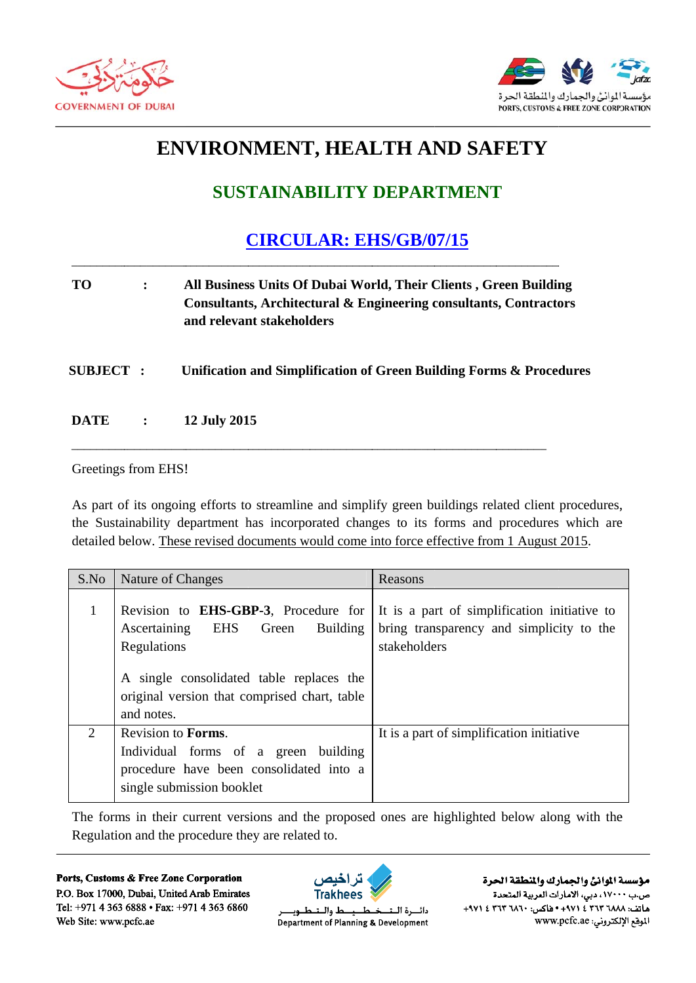



## **ENVIRONMENT, HEALTH AND SAFETY**

## **SUSTAINABILITY DEPARTMENT**

**CIRCULAR: EHS/GB/07/15** 

- **TO**  $\ddot{\cdot}$ All Business Units Of Dubai World, Their Clients, Green Building **Consultants, Architectural & Engineering consultants, Contractors** and relevant stakeholders
- **SUBJECT:** Unification and Simplification of Green Building Forms & Procedures
- **DATE**  $\ddot{\cdot}$ 12 July 2015

## Greetings from EHS!

As part of its ongoing efforts to streamline and simplify green buildings related client procedures, the Sustainability department has incorporated changes to its forms and procedures which are detailed below. These revised documents would come into force effective from 1 August 2015.

| S.No                        | Nature of Changes                                                                                                                                                                                           | Reasons                                                                                                  |
|-----------------------------|-------------------------------------------------------------------------------------------------------------------------------------------------------------------------------------------------------------|----------------------------------------------------------------------------------------------------------|
| 1                           | Revision to <b>EHS-GBP-3</b> , Procedure for<br>EHS Green Building<br>Ascertaining<br>Regulations<br>A single consolidated table replaces the<br>original version that comprised chart, table<br>and notes. | It is a part of simplification initiative to<br>bring transparency and simplicity to the<br>stakeholders |
| $\mathcal{D}_{\mathcal{L}}$ | Revision to Forms.<br>Individual forms of a green building<br>procedure have been consolidated into a<br>single submission booklet                                                                          | It is a part of simplification initiative                                                                |

The forms in their current versions and the proposed ones are highlighted below along with the Regulation and the procedure they are related to.

Ports, Customs & Free Zone Corporation P.O. Box 17000, Dubai, United Arab Emirates Tel: +971 4 363 6888 • Fax: +971 4 363 6860 Web Site: www.pcfc.ae



ط والــد دائسرة البت طــوب Department of Planning & Development

مؤسسة الموانئ والجمارك والنطقة الحرة ص.ب ١٧٠٠٠، دبي، الأمارات العربية المتحدة +٩٧١ ٤ ٢٦٣ ١٨٨٢ ٢٦٢ ١٤ ٠٠٠١٤ ٠٥١٤ ٠٠٠١ ١٩٧١. الموقع الإلكتروني: www.pcfc.ae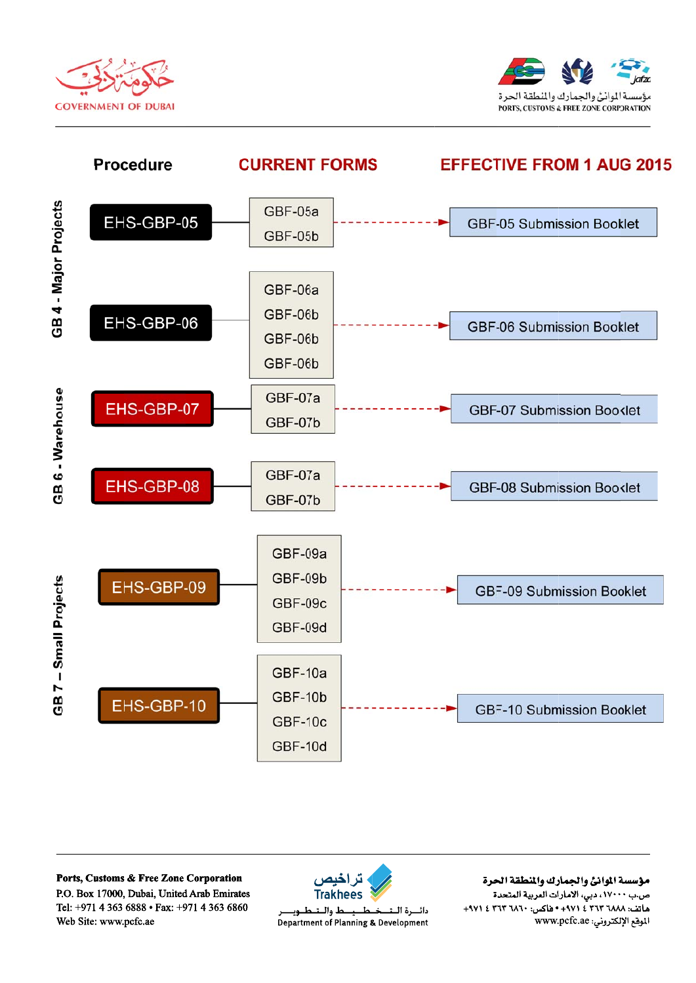





Ports, Customs & Free Zone Corporation P.O. Box 17000, Dubai, United Arab Emirates Tel: +971 4 363 6888 • Fax: +971 4 363 6860 Web Site: www.pcfc.ae



لط واللت دائسرة البت طــوب Department of Planning & Development

مؤسسة الموانئ والجمارك والنطقة الحرة ص.ب ١٧٠٠٠، دبي، الأمارات العربية المتحدة +٩٧١ ٤ ٢٦٣ ١٨٨٢ ٢٦٢ ١٤ ٠٠٠١٤ ٠٥١٤ ٠٠٠١ ١٩٧١. الموقع الإلكتروني: www.pcfc.ae